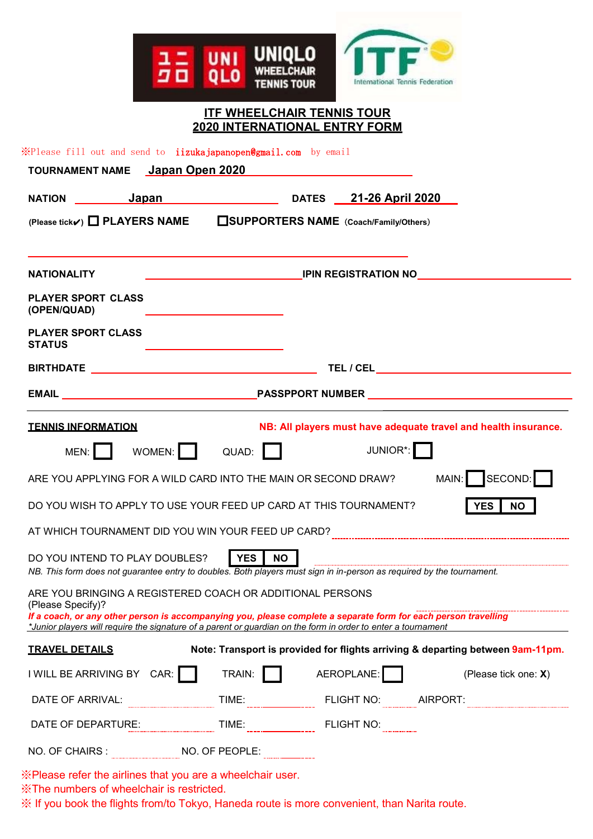

## **ITF WHEELCHAIR TENNIS TOUR 2020 INTERNATIONAL ENTRY FORM**

※Please fill out and send to iizukajapanopen@gmail.com by email

|                                            | <b>TOURNAMENT NAME</b> Japan Open 2020                                                                        |                         |  |            |                                                                                                                       |  |
|--------------------------------------------|---------------------------------------------------------------------------------------------------------------|-------------------------|--|------------|-----------------------------------------------------------------------------------------------------------------------|--|
|                                            | NATION Japan Japan DATES 21-26 April 2020                                                                     |                         |  |            |                                                                                                                       |  |
|                                            | (Please tick√) □ PLAYERS NAME □ SUPPORTERS NAME (Coach/Family/Others)                                         |                         |  |            |                                                                                                                       |  |
| <b>NATIONALITY</b>                         | <b>EXAMPLE IPIN REGISTRATION NO</b>                                                                           |                         |  |            |                                                                                                                       |  |
| <b>PLAYER SPORT CLASS</b><br>(OPEN/QUAD)   |                                                                                                               |                         |  |            |                                                                                                                       |  |
| <b>PLAYER SPORT CLASS</b><br><b>STATUS</b> |                                                                                                               |                         |  |            |                                                                                                                       |  |
|                                            |                                                                                                               |                         |  |            |                                                                                                                       |  |
|                                            |                                                                                                               |                         |  |            |                                                                                                                       |  |
| <b>TENNIS INFORMATION</b>                  |                                                                                                               |                         |  |            | NB: All players must have adequate travel and health insurance.                                                       |  |
| MEN:                                       | WOMEN: QUAD:                                                                                                  |                         |  | JUNIOR*:   |                                                                                                                       |  |
|                                            | ARE YOU APPLYING FOR A WILD CARD INTO THE MAIN OR SECOND DRAW?                                                |                         |  |            | MAIN: SECOND:                                                                                                         |  |
|                                            | DO YOU WISH TO APPLY TO USE YOUR FEED UP CARD AT THIS TOURNAMENT?                                             |                         |  |            | YES  <br><b>NO</b>                                                                                                    |  |
|                                            |                                                                                                               |                         |  |            |                                                                                                                       |  |
|                                            | DO YOU INTEND TO PLAY DOUBLES?                                                                                | <b>YES</b><br><b>NO</b> |  |            |                                                                                                                       |  |
|                                            |                                                                                                               |                         |  |            | NB. This form does not guarantee entry to doubles. Both players must sign in in-person as required by the tournament. |  |
| (Please Specify)?                          | ARE YOU BRINGING A REGISTERED COACH OR ADDITIONAL PERSONS                                                     |                         |  |            |                                                                                                                       |  |
|                                            | *Junior players will require the signature of a parent or guardian on the form in order to enter a tournament |                         |  |            | If a coach, or any other person is accompanying you, please complete a separate form for each person travelling       |  |
| <b>TRAVEL DETAILS</b>                      |                                                                                                               |                         |  |            | Note: Transport is provided for flights arriving & departing between 9am-11pm.                                        |  |
| I WILL BE ARRIVING BY CAR:                 |                                                                                                               | TRAIN:                  |  | AEROPLANE: | (Please tick one: X)                                                                                                  |  |
| DATE OF ARRIVAL:                           |                                                                                                               | TIME:                   |  | FLIGHT NO: | AIRPORT:                                                                                                              |  |
| DATE OF DEPARTURE:                         |                                                                                                               | TIME:                   |  | FLIGHT NO: |                                                                                                                       |  |
| NO. OF CHAIRS:                             |                                                                                                               |                         |  |            |                                                                                                                       |  |

※Please refer the airlines that you are a wheelchair user.

※The numbers of wheelchair is restricted.

※ If you book the flights from/to Tokyo, Haneda route is more convenient, than Narita route.